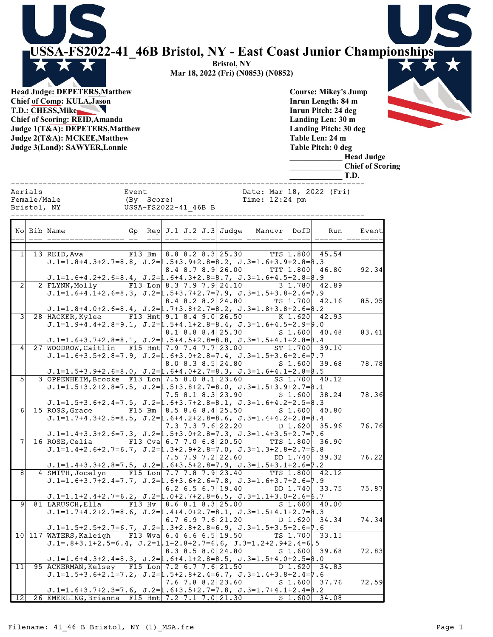USSA-FS2022-41\_46B Bristol, NY - East Coast Junior Championships

------------------------------------------------------------------------------

Bristol, NY Mar 18, 2022 (Fri) (N0853) (N0852)

Head Judge: DEPETERS,Matthew Chief of Comp: KULA,Jason T.D.: CHESS,Mike Chief of Scoring: REID,Amanda Judge 1(T&A): DEPETERS,Matthew Judge 2(T&A): MCKEE,Matthew Judge 3(Land): SAWYER,Lonnie

 $\star$ 

Course: Mikey's Jump Inrun Length: 84 m Inrun Pitch: 24 deg Landing Len: 30 m Landing Pitch: 30 deg Table Len: 24 m Table Pitch: 0 deg

\_\_\_\_\_\_\_\_\_\_\_\_\_ Head Judge

\_\_\_\_\_\_\_\_\_\_\_\_\_ Chief of Scoring \_\_\_\_\_\_\_\_\_\_\_\_\_ T.D.

|                 | Aerials     |                                                                                                 | Event |            |                                                                                   | Date: Mar 18, 2022 (Fri) |                 |                |       |
|-----------------|-------------|-------------------------------------------------------------------------------------------------|-------|------------|-----------------------------------------------------------------------------------|--------------------------|-----------------|----------------|-------|
|                 | Female/Male |                                                                                                 |       | (By Score) |                                                                                   | Time: $12:24$ pm         |                 |                |       |
|                 | Bristol, NY |                                                                                                 |       |            | USSA-FS2022-41 46B B                                                              |                          |                 |                |       |
|                 |             |                                                                                                 |       |            |                                                                                   |                          |                 |                |       |
|                 |             |                                                                                                 |       |            |                                                                                   |                          |                 |                |       |
|                 |             | No Bib Name                                                                                     |       |            | Gp Rep $J.1 J.2 J.3$ Judge                                                        |                          | Manuvr DofD     | Run            | Event |
| $==$            |             |                                                                                                 |       |            |                                                                                   |                          |                 | ====== ======= |       |
|                 |             |                                                                                                 |       |            |                                                                                   |                          |                 |                |       |
| 1 <sup>1</sup>  |             | 13 REID,Ava                                                                                     |       |            | $F13 \, Bm \,   \, 8.8 \,   \, 8.2 \,   \, 8.3   \, 25.30$ TTS $1.800   \, 45.54$ |                          |                 |                |       |
|                 |             | $J.1=1.8+4.3+2.7=8.8$ , $J.2=1.5+3.9+2.8=8.2$ , $J.3=1.6+3.9+2.8=8.3$                           |       |            |                                                                                   |                          |                 |                |       |
|                 |             |                                                                                                 |       |            | $8.4$ $8.7$ $8.9$ 26.00                                                           |                          | TTT 1.800 46.80 |                | 92.34 |
|                 |             | $J.1=1.6+4.2+2.6=8.4$ , $J.2=1.6+4.3+2.8=8.7$ , $J.3=1.6+4.5+2.8=8.9$                           |       |            |                                                                                   |                          |                 |                |       |
| $\overline{2}$  |             | 2 FLYNN, Molly F13 Lon 8.3 7.9 7.9 24.10                                                        |       |            |                                                                                   | 3 1.780 42.89            |                 |                |       |
|                 |             | $J.1=1.6+4.1+2.6=8.3$ , $J.2=1.5+3.7+2.7=7.9$ , $J.3=1.5+3.8+2.6=7.9$                           |       |            |                                                                                   |                          |                 |                |       |
|                 |             | $J.1=1.8+4.0+2.6=8.4$ , $J.2=1.7+3.8+2.7=8.2$ , $J.3=1.8+3.8+2.6=8.2$                           |       |            | $8.4$ $8.2$ $8.2$ $24.80$                                                         |                          | TS 1.700 42.16  |                | 85.05 |
| $\overline{3}$  |             | 28 HACKER, Kylee F13 Hmt 9.1 8.4 9.0 26.50 K 1.620 42.93                                        |       |            |                                                                                   |                          |                 |                |       |
|                 |             | $J.1=1.9+4.4+2.8=9.1$ , $J.2=1.5+4.1+2.8=8.4$ , $J.3=1.6+4.5+2.9=9.0$                           |       |            |                                                                                   |                          |                 |                |       |
|                 |             |                                                                                                 |       |            | $8.1 \t8.8 \t8.4$ 25.30                                                           |                          | S 1.600 40.48   |                | 83.41 |
|                 |             | $J.1=1.6+3.7+2.8=8.1$ , $J.2=1.5+4.5+2.8=8.8$ , $J.3=1.5+4.1+2.8=8.4$                           |       |            |                                                                                   |                          |                 |                |       |
| $\vert 4 \vert$ |             | 27 WOODROW, Caitlin F15 Hmt 7.9 7.4 7.7 23.00 ST 1.700 39.10                                    |       |            |                                                                                   |                          |                 |                |       |
|                 |             | $J.1=1.6+3.5+2.8=7.9$ , $J.2=1.6+3.0+2.8=7.4$ , $J.3=1.5+3.6+2.6=7.7$                           |       |            |                                                                                   |                          |                 |                |       |
|                 |             |                                                                                                 |       |            | $8.0$ $8.3$ $8.5$ 24.80                                                           |                          | $S$ 1.600 39.68 |                | 78.78 |
|                 |             | $J.1=1.5+3.9+2.6=8.0$ , $J.2=1.6+4.0+2.7=8.3$ , $J.3=1.6+4.1+2.8=8.5$                           |       |            |                                                                                   |                          |                 |                |       |
| $\overline{5}$  |             | 3 OPPENHEIM, Brooke F13 Lon 7.5 8.0 8.1 23.60                                                   |       |            |                                                                                   |                          | SS 1.700 40.12  |                |       |
|                 |             | $J.1=1.5+3.2+2.8=7.5$ , $J.2=1.5+3.8+2.7=8.0$ , $J.3=1.5+3.9+2.7=8.1$                           |       |            |                                                                                   |                          |                 |                |       |
|                 |             |                                                                                                 |       |            | $7.5$ 8.1 8.3 23.90                                                               |                          | S 1.600 38.24   |                | 78.36 |
|                 |             | $J.1=1.5+3.6+2.4=7.5$ , $J.2=1.6+3.7+2.8=8.1$ , $J.3=1.6+4.2+2.5=8.3$                           |       |            |                                                                                   |                          |                 |                |       |
| 6 <sup>1</sup>  |             | 15 ROSS, Grace F15 Bm $ 8.5 8.6 8.4 25.50$                                                      |       |            |                                                                                   |                          | S 1.600 40.80   |                |       |
|                 |             | $J.1=1.7+4.3+2.5=8.5$ , $J.2=1.6+4.2+2.8=8.6$ , $J.3=1.4+4.2+2.8=8.4$                           |       |            |                                                                                   |                          |                 |                |       |
|                 |             |                                                                                                 |       |            | $7.3$ $7.3$ $7.6$ 22.20                                                           | $D \ 1.620$ 35.96        |                 |                | 76.76 |
|                 |             | $J.1=1.4+3.3+2.6=7.3$ , $J.2=1.5+3.0+2.8=7.3$ , $J.3=1.4+3.5+2.7=7.6$                           |       |            |                                                                                   |                          |                 |                |       |
| 7               |             | 16 ROSE, Celia F13 Cva 6.7 7.0 6.8 20.50 TTS 1.800 36.90                                        |       |            |                                                                                   |                          |                 |                |       |
|                 |             | $J.1=1.4+2.6+2.7=6.7$ , $J.2=1.3+2.9+2.8=7.0$ , $J.3=1.3+2.8+2.7=6.8$                           |       |            |                                                                                   |                          |                 |                |       |
|                 |             |                                                                                                 |       |            | $7.5$ $7.9$ $7.2$ 22.60                                                           | $DD$ 1.740 39.32         |                 |                | 76.22 |
|                 |             | $J.1=1.4+3.3+2.8=7.5$ , $J.2=1.6+3.5+2.8=7.9$ , $J.3=1.5+3.1+2.6=7.2$                           |       |            |                                                                                   |                          |                 |                |       |
| $\overline{8}$  |             | 4 SMITH, Jocelyn F15 Lon 7.7 7.8 7.9 23.40 TTS 1.800 42.12                                      |       |            |                                                                                   |                          |                 |                |       |
|                 |             | $J.1=1.6+3.7+2.4=7.7$ , $J.2=1.6+3.6+2.6=7.8$ , $J.3=1.6+3.7+2.6=7.9$                           |       |            |                                                                                   |                          |                 |                |       |
|                 |             |                                                                                                 |       |            | 6.2 6.5 6.7 19.40                                                                 |                          | DD 1.740 33.75  |                | 75.87 |
| 91              |             | $J.1=1.1+2.4+2.7=6.2$ , $J.2=1.0+2.7+2.8=6.5$ , $J.3=1.1+3.0+2.6=6.7$                           |       |            |                                                                                   |                          |                 |                |       |
|                 |             | 81 LARUSCH, Ella<br>$J.1=1.7+4.2+2.7=8.6$ , $J.2=1.4+4.0+2.7=8.1$ , $J.3=1.5+4.1+2.7=8.3$       |       |            | F13 Hv $ 8.6 8.1 8.3 25.00$ S 1.600 40.00                                         |                          |                 |                |       |
|                 |             |                                                                                                 |       |            | $6.7$ $6.9$ $7.6$ 21.20                                                           |                          | D 1.620 34.34   |                | 74.34 |
|                 |             | $J.1=1.5+2.5+2.7=6.7$ , $J.2=1.3+2.8+2.8=6.9$ , $J.3=1.5+3.5+2.6=7.6$                           |       |            |                                                                                   |                          |                 |                |       |
|                 |             | 10 117 WATERS, Kaleigh F13 Wva 6.4 6.6 6.5 19.50                                                |       |            |                                                                                   |                          | TS 1.700 33.15  |                |       |
|                 |             | $J.1 = .8 + 3.1 + 2.5 = 6.4$ , $J.2 = 1.1 + 2.8 + 2.7 = 6$ . 6, $J.3 = 1.2 + 2.9 + 2.4 = 6$ . 5 |       |            |                                                                                   |                          |                 |                |       |
|                 |             |                                                                                                 |       |            | $8.3$ $8.5$ $8.0$ $24.80$                                                         |                          | $S$ 1.600 39.68 |                | 72.83 |
|                 |             | $J.1=1.6+4.3+2.4=8.3$ , $J.2=1.6+4.1+2.8=8.5$ , $J.3=1.5+4.0+2.5=8.0$                           |       |            |                                                                                   |                          |                 |                |       |
|                 |             | 11 95 ACKERMAN, Kelsey F15 Lon 7.2 6.7 7.6 21.50 D 1.620 34.83                                  |       |            |                                                                                   |                          |                 |                |       |
|                 |             | $J.1=1.5+3.6+2.1=7.2$ , $J.2=1.5+2.8+2.4=6.7$ , $J.3=1.4+3.8+2.4=7.6$                           |       |            |                                                                                   |                          |                 |                |       |
|                 |             |                                                                                                 |       |            | $7.6$ $7.8$ $8.2$ $23.60$                                                         |                          | S 1.600 37.76   |                | 72.59 |
|                 |             | J.1=1.6+3.7+2.3=7.6, J.2=1.6+3.5+2.7=7.8, J.3=1.7+4.1+2.4=B.2                                   |       |            |                                                                                   |                          |                 |                |       |
| 12              |             | 26 EMERLING, Brianna F15 Hmt 7.2 7.1 7.0 21.30                                                  |       |            |                                                                                   |                          | $S$ 1.600 34.08 |                |       |
|                 |             |                                                                                                 |       |            |                                                                                   |                          |                 |                |       |

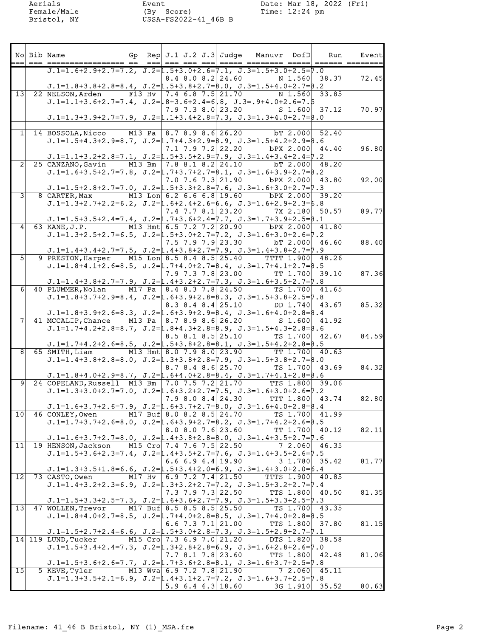Aerials Event Date: Mar 18, 2022 (Fri) Female/Male (By Score) Time: 12:24 pm

| ===            | No Bib Name                                                                                                                                                                                     |        | Gp Rep $J.1 J.2 J.3$ Judge                                 |  | Manuvr DofD                         | Run.  | Event |
|----------------|-------------------------------------------------------------------------------------------------------------------------------------------------------------------------------------------------|--------|------------------------------------------------------------|--|-------------------------------------|-------|-------|
|                | $J.1=1.6+2.9+2.7=7.2$ , $J.2=1.5+3.0+2.6=7.1$ , $J.3=1.5+3.0+2.5=7.0$<br>$J.1=1.8+3.8+2.8=8.4$ , $J.2=1.5+3.8+2.7=8.0$ , $J.3=1.5+4.0+2.7=8.2$                                                  |        | $8.4$ $8.0$ $8.2$ $24.60$                                  |  | N 1.560 38.37                       |       | 72.45 |
|                | 13 22 NELSON, Arden<br>$J.1=1.1+3.6+2.7=7.4$ , $J.2= .8+3.6+2.4=6 .8$ , $J.3=.9+4.0+2.6=7.5$<br>$J.1=1.3+3.9+2.7=7.9$ , $J.2=1.1+3.4+2.8=7.3$ , $J.3=1.3+4.0+2.7=8.0$                           |        | F13 Hv $ 7.4\;6.8\;7.5 21.70$<br>7.9 7.3 8.0 23.20         |  | N 1.560 33.85<br>S 1.600 37.12      |       | 70.97 |
|                | 1 14 BOSSOLA, Nicco<br>$J.1=1.5+4.3+2.9=8.7$ , $J.2=1.7+4.3+2.9=8.9$ , $J.3=1.5+4.2+2.9=8.6$                                                                                                    |        | M13 Pa 8.7 8.9 8.6 26.20                                   |  | $bT$ 2.000 52.40                    |       |       |
| $\overline{2}$ | $J.1=1.1+3.2+2.8=7.1$ , $J.2=1.5+3.5+2.9=7.9$ , $J.3=1.4+3.4+2.4=7.2$<br>25 CANZANO, Gavin                                                                                                      |        | $7.1$ $7.9$ $7.2$ $22.20$<br>M13 Bm 7.8 8.1 8.2 24.10      |  | bPX 2.000 44.40<br>bT 2.000 48.20   |       | 96.80 |
| 3 <sup>1</sup> | $J.1=1.6+3.5+2.7=7.8$ , $J.2=1.7+3.7+2.7=8.1$ , $J.3=1.6+3.9+2.7=8.2$<br>$J.1=1.5+2.8+2.7=7.0$ , $J.2=1.5+3.3+2.8=7.6$ , $J.3=1.6+3.0+2.7=7.3$<br>8 CARTER, Max                                 |        | $7.0$ $7.6$ $7.3$ $21.90$<br>M13 Lon $6.2$ 6.6 6.8 19.60   |  | bPX 2.000 43.80<br>bPX 2.000 39.20  |       | 92.00 |
|                | $J.1=1.3+2.7+2.2=6.2$ , $J.2=1.6+2.4+2.6=6.6$ , $J.3=1.6+2.9+2.3=6.8$<br>$J.1=1.5+3.5+2.4=7.4$ , $J.2=1.7+3.6+2.4=7.7$ , $J.3=1.7+3.9+2.5=8.1$                                                  |        | 7.4 7.7 8.1 23.20                                          |  | 7X 2.180 50.57                      |       | 89.77 |
|                | 63 KANE, J.P.<br>$J.1=1.3+2.5+2.7=6.5$ , $J.2=1.5+3.0+2.7=7.2$ , $J.3=1.6+3.0+2.6=7.2$<br>$J.1=1.4+3.4+2.7=7.5$ , $J.2=1.4+3.8+2.7=7.9$ , $J.3=1.4+3.8+2.7=7.9$                                 |        | M13 Hmt 6.5 7.2 7.2 20.90<br>$7.5$ $7.9$ $7.9$ $23.30$     |  | bPX 2.000<br>$DT$ 2.000 46.60       | 41.80 | 88.40 |
| 5 <sup>1</sup> | 9 PRESTON, Harper M15 Lon 8.5 8.4 8.5 25.40<br>$J.1=1.8+4.1+2.6=8.5$ , $J.2=1.7+4.0+2.7=8.4$ , $J.3=1.7+4.1+2.7=8.5$                                                                            |        | $7.9$ $7.3$ $7.8$ 23.00                                    |  | TTTT 1.900 48.26<br>TT 1.700 39.10  |       | 87.36 |
| 6              | $J.1=1.4+3.8+2.7=7.9$ , $J.2=1.4+3.2+2.7=7.3$ , $J.3=1.6+3.5+2.7=7.8$<br>40 PLUMMER,Nolan<br>$J.1=1.8+3.7+2.9=8.4$ , $J.2=1.6+3.9+2.8=8.3$ , $J.3=1.5+3.8+2.5=7.8$                              |        | M17 Pa   8.4 8.3 7.8 24.50<br>$8.3$ $8.4$ $8.4$ $25.10$    |  | TS 1.700<br>DD 1.740 43.67          | 41.65 | 85.32 |
| 71             | $J.1=1.8+3.9+2.6=8.3$ , $J.2=1.6+3.9+2.9=8.4$ , $J.3=1.6+4.0+2.8=8.4$<br>41 MCCALIP, Chance<br>$J.1=1.7+4.2+2.8=8.7$ , $J.2=1.8+4.3+2.8=8.9$ , $J.3=1.5+4.3+2.8=8.6$                            |        | M13 Pa   8.7 8.9 8.6 26.20<br>$8.5$ $8.1$ $8.5$ $25.10$    |  | S 1.600 41.92<br>TS 1.700 42.67     |       | 84.59 |
| 81             | $J.1=1.7+4.2+2.6=8.5$ , $J.2=1.5+3.8+2.8=8.1$ , $J.3=1.5+4.2+2.8=8.5$<br>65 SMITH, Liam<br>$J.1=1.4+3.8+2.8=8.0$ , $J.2=1.3+3.8+2.8=7.9$ , $J.3=1.5+3.8+2.7=8.0$                                |        | M13 Hmt $8.0$ 7.9 $8.0$ 23.90<br>$8.7$ $8.4$ $8.6$ $25.70$ |  | TT 1.700 40.63                      |       | 84.32 |
| 91             | $J.1=1.8+4.0+2.9=8.7$ , $J.2=1.6+4.0+2.8=8.4$ , $J.3=1.7+4.1+2.8=8.6$<br>24 COPELAND, Russell M13 Bm 7.0 7.5 7.2 21.70<br>$J.1=1.3+3.0+2.7=7.0$ , $J.2=1.6+3.2+2.7=7.5$ , $J.3=1.6+3.0+2.6=7.2$ |        |                                                            |  | TS 1.700 43.69<br>TTS 1.800 39.06   |       |       |
|                | $J.1=1.6+3.7+2.6=7.9$ , $J.2=1.6+3.7+2.7=8.0$ , $J.3=1.6+4.0+2.8=8.4$<br>10 46 CONLEY, Owen                                                                                                     |        | $7.9$ 8.0 8.4 24.30<br>M17 Buf 8.0 8.2 8.5 24.70           |  | TTT 1.800 43.74<br>TS 1.700 41.99   |       | 82.80 |
|                | $J.1=1.7+3.7+2.6=8.0$ , $J.2=1.6+3.9+2.7=8.2$ , $J.3=1.7+4.2+2.6=8.5$<br>$J.1=1.6+3.7+2.7=8.0$ , $J.2=1.4+3.8+2.8=8.0$ , $J.3=1.4+3.5+2.7=7.6$<br>11 19 HENSON, Jackson                         |        | $8.0$ $8.0$ $7.6$ $23.60$<br>M15 Cro 7.4 7.6 7.5 22.50     |  | TT 1.700 40.12<br>7 2.060 46.35     |       | 82.11 |
|                | $J.1=1.5+3.6+2.3=7.4$ , $J.2=1.4+3.5+2.7=7.6$ , $J.3=1.4+3.5+2.6=7.5$<br>$J.1=1.3+3.5+1.8=6.6$ , $J.2=1.5+3.4+2.0=6.9$ , $J.3=1.4+3.0+2.0=6.4$                                                  |        | 6.6 6.9 6.4 19.90                                          |  | $3 \t1.780 \t35.42$                 |       | 81.77 |
| 12             | 73 CASTO, Owen<br>$J.1=1.4+3.2+2.3=6.9$ , $J.2=1.3+3.2+2.7=7.2$ , $J.3=1.5+3.2+2.7=7.4$<br>$J.1=1.5+3.3+2.5=7.3$ , $J.2=1.6+3.6+2.7=7.9$ , $J.3=1.5+3.3+2.5=7.3$                                | M17 Hv | $6.9$ 7.2 7.4 21.50<br>$7.3$ $7.9$ $7.3$ 22.50             |  | TTTS 1.900 40.85<br>TTS 1.800 40.50 |       | 81.35 |
| 13             | 47 WOLLEN, Trevor<br>$J.1=1.8+4.0+2.7=8.5$ , $J.2=1.7+4.0+2.8=8.5$ , $J.3=1.7+4.0+2.8=8.5$<br>$J.1=1.5+2.7+2.4=6.6$ , $J.2=1.5+3.0+2.8=7.3$ , $J.3=1.5+2.9+2.7=7.1$                             |        | M17 Buf $8.5$ $8.5$ $8.5$ $25.50$<br>6.6 7.3 7.1 $21.00$   |  | TS 1.700 43.35<br>TTS 1.800 37.80   |       | 81.15 |
|                | 14 119 LUND, Tucker<br>$J.1=1.5+3.4+2.4=7.3$ , $J.2=1.3+2.8+2.8=6.9$ , $J.3=1.6+2.8+2.6=7.0$                                                                                                    |        | M15 Cro 7.3 6.9 7.0 21.20<br>$7.7$ 8.1 7.8 23.60           |  | DTS 1.820 38.58<br>TTS 1.800 42.48  |       | 81.06 |
| 15             | $J.1=1.5+3.6+2.6=7.7$ , $J.2=1.7+3.6+2.8=8.1$ , $J.3=1.6+3.7+2.5=7.8$<br>5 KEVE, Tyler<br>$J.1=1.3+3.5+2.1=6.9$ , $J.2=1.4+3.1+2.7=7.2$ , $J.3=1.6+3.7+2.5=7.8$                                 |        | M13 Wva 6.9 7.2 7.8 21.90<br>5.96.46.3 18.60               |  | 7 2.060 45.11<br>3G 1.910 35.52     |       | 80.63 |